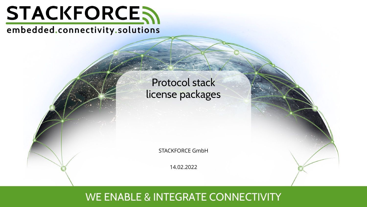

# embedded.connectivity.solutions

# Protocol stack license packages

STACKFORCE GmbH

14.02.2022

# WE ENABLE & INTEGRATE CONNECTIVITY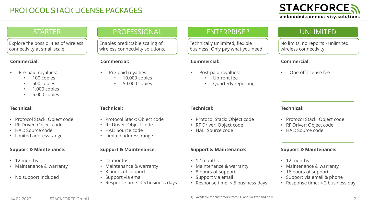# PROTOCOL STACK LICENSE PACKAGES

### **STARTER**

Explore the possibilities of wireless connectivity at small scale.

#### **Commercial:**

- Pre-paid royalties:
	- 100 copies
	- 500 copies
	- 1.000 copies
	- 5.000 copies

#### **Technical:**

- Protocol Stack: Object code
- RF Driver: Object code
- HAL: Source code
- Limited address range

#### **Support & Maintenance:**

- 12 months
- Maintenance & warranty
- No support included

## PROFESSIONAL

Enables predictable scaling of wireless connectivity solutions.

#### **Commercial:**

- Pre-paid royalties:
	- 10.000 copies
	- 50.000 copies

### ENTERPRISE <sup>1</sup>

Technically unlimited, flexible business: Only pay what you need.

#### **Commercial:**

- Post-paid royalties:
	- Upfront fee
	- Quarterly reporting

### UNLIMITED

No limits, no reports - unlimited wireless connectivity!

#### **Commercial:**

• One-off license fee

#### **Technical:**

- Protocol Stack: Object code
- RF Driver: Object code
- HAL: Source code

#### **Support & Maintenance:**

- 12 months
- Maintenance & warranty
- 16 hours of support
- Support via email & phone
- Response time: < 2 business day

#### **Technical:**

- Protocol Stack: Object code
- RF Driver: Object code
- HAL: Source code
- Limited address range

#### **Support & Maintenance:**

- 12 months
- Maintenance & warranty
- 8 hours of support
- Support via email
- Response time: < 5 business days

#### **Technical:**

- Protocol Stack: Object code
- RF Driver: Object code
- HAL: Source code

#### **Support & Maintenance:**

- 12 months
- Maintenance & warranty
- 8 hours of support
- Support via email
- Response time: < 5 business days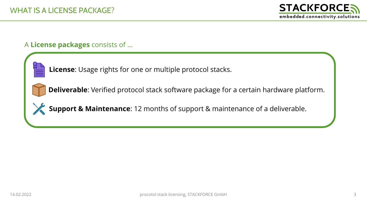# A **License packages** consists of …



**License**: Usage rights for one or multiple protocol stacks.

**Deliverable**: Verified protocol stack software package for a certain hardware platform.



**Support & Maintenance**: 12 months of support & maintenance of a deliverable.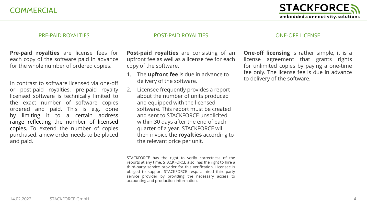**COMMERCIAL** 

#### PRE-PAID ROYALTIES

#### POST-PAID ROYALTIES

**Pre-paid royalties** are license fees for each copy of the software paid in advance for the whole number of ordered copies.

In contrast to software licensed via one-off or post-paid royalties, pre-paid royalty licensed software is technically limited to the exact number of software copies ordered and paid. This is e.g. done by limiting it to a certain address range reflecting the number of licensed copies. To extend the number of copies purchased, a new order needs to be placed and paid.

**Post-paid royalties** are consisting of an upfront fee as well as a license fee for each copy of the software.

- 1. The **upfront fee** is due in advance to delivery of the software.
- 2. Licensee frequently provides a report about the number of units produced and equipped with the licensed software. This report must be created and sent to STACKFORCE unsolicited within 30 days after the end of each quarter of a year. STACKFORCE will then invoice the **royalties** according to the relevant price per unit.

STACKFORCE has the right to verify correctness of the reports at any time. STACKFORCE also has the right to hire a third-party service provider for this verification. Licensee is obliged to support STACKFORCE resp. a hired third-party service provider by providing the necessary access to accounting and production information.

#### ONE-OFF LICENSE

**One-off licensing** is rather simple, it is a license agreement that grants rights for unlimited copies by paying a one-time fee only. The license fee is due in advance to delivery of the software.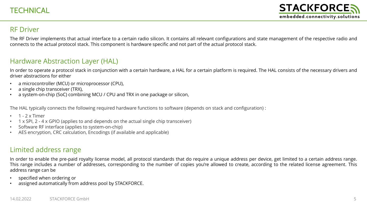### RF Driver

The RF Driver implements that actual interface to a certain radio silicon. It contains all relevant configurations and state management of the respective radio and connects to the actual protocol stack. This component is hardware specific and not part of the actual protocol stack.

## Hardware Abstraction Layer (HAL)

In order to operate a protocol stack in conjunction with a certain hardware, a HAL for a certain platform is required. The HAL consists of the necessary drivers and driver abstractions for either

- a microcontroller (MCU) or microprocessor (CPU),
- a single chip transceiver (TRX),
- a system-on-chip (SoC) combining MCU / CPU and TRX in one package or silicon,

The HAL typically connects the following required hardware functions to software (depends on stack and configuration) :

- $\cdot$  1 2 x Timer
- 1 x SPI, 2 4 x GPIO (applies to and depends on the actual single chip transceiver)
- Software RF interface (applies to system-on-chip)
- AES encryption, CRC calculation, Encodings (if available and applicable)

### Limited address range

In order to enable the pre-paid royalty license model, all protocol standards that do require a unique address per device, get limited to a certain address range. This range includes a number of addresses, corresponding to the number of copies you're allowed to create, according to the related license agreement. This address range can be

- specified when ordering or
- assigned automatically from address pool by STACKFORCE.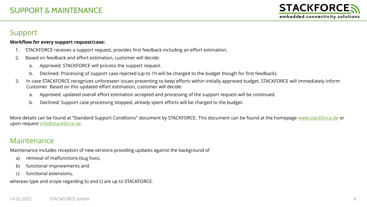# Support

#### **Workflow for every support request/case:**

- 1. STACKFORCE receives a support request, provides first feedback including an effort estimation.
- 2. Based on feedback and effort estimation, customer will decide:
	- a. Approved: STACKFORCE will process the support request.
	- b. Declined: Processing of support case rejected (up to 1h will be charged to the budget though for first feedback).
- 3. In case STACKFORCE recognizes unforeseen issues preventing to keep efforts within initially approved budget, STACKFORCE will immediately inform Customer. Based on this updated effort estimation, customer will decide:
	- a. Approved: updated overall effort estimation accepted and processing of the support request will be continued.
	- b. Declined: Support case processing stopped, already spent efforts will be charged to the budget.

More details can be found at "Standard Support Conditions" document by STACKFORCE. This document can be found at the homepage [www.stackforce.de](http://www.stackforce.de/) or upon request [info@stackforce.de](mailto:info@stackforce.de).

# Maintenance

Maintenance includes reception of new versions providing updates against the background of

- a) removal of malfunctions (bug fixes),
- b) functional improvements and
- c) functional extensions,

whereas type and scope regarding b) and c) are up to STACKFORCE.